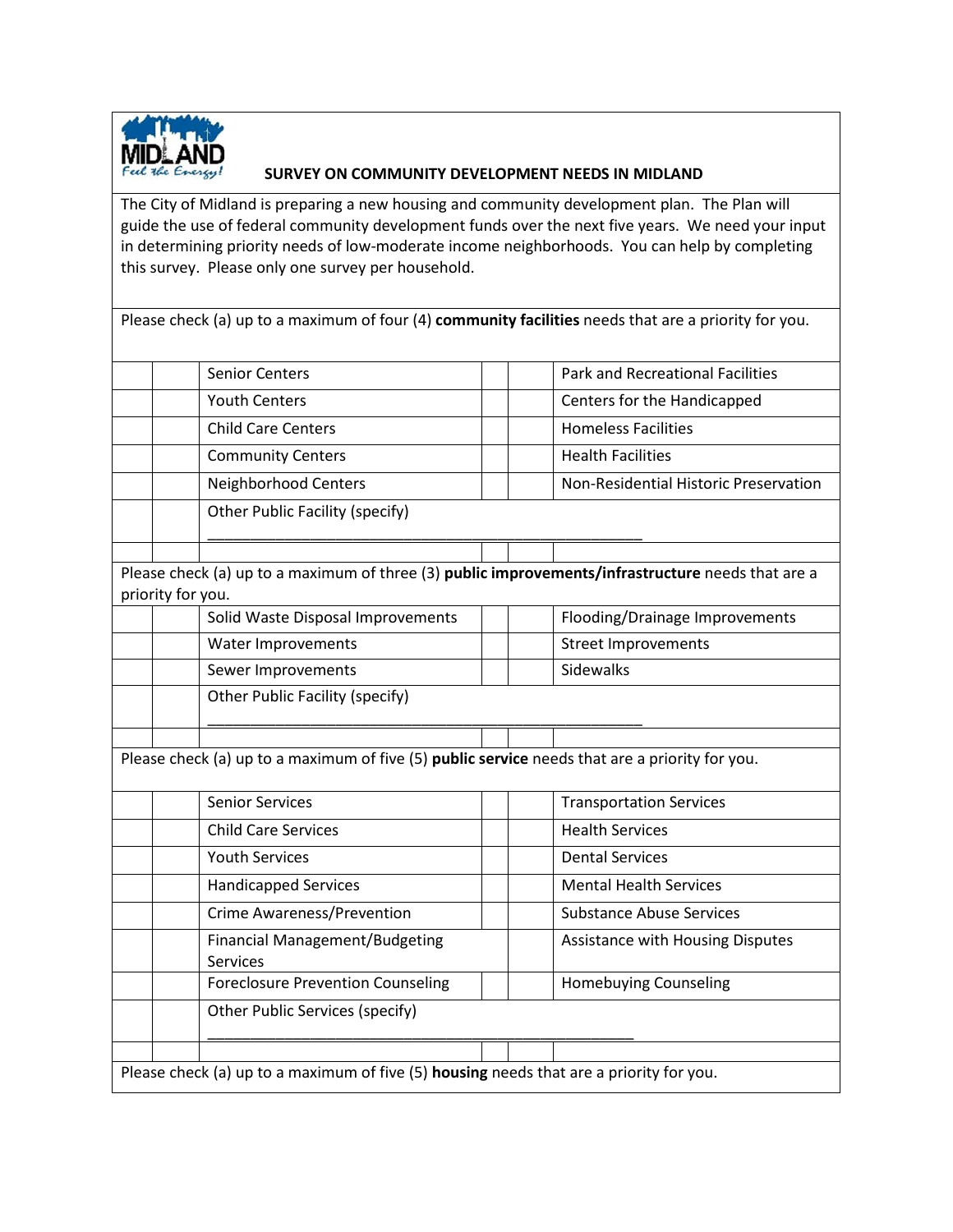

## **SURVEY ON COMMUNITY DEVELOPMENT NEEDS IN MIDLAND**

The City of Midland is preparing a new housing and community development plan. The Plan will guide the use of federal community development funds over the next five years. We need your input in determining priority needs of low-moderate income neighborhoods. You can help by completing this survey. Please only one survey per household.

|                                                                                                | Please check (a) up to a maximum of four (4) community facilities needs that are a priority for you.                   |                                         |  |  |  |  |  |
|------------------------------------------------------------------------------------------------|------------------------------------------------------------------------------------------------------------------------|-----------------------------------------|--|--|--|--|--|
|                                                                                                |                                                                                                                        |                                         |  |  |  |  |  |
|                                                                                                | <b>Senior Centers</b>                                                                                                  | <b>Park and Recreational Facilities</b> |  |  |  |  |  |
|                                                                                                | <b>Youth Centers</b>                                                                                                   | Centers for the Handicapped             |  |  |  |  |  |
|                                                                                                | <b>Child Care Centers</b>                                                                                              | <b>Homeless Facilities</b>              |  |  |  |  |  |
|                                                                                                | <b>Community Centers</b>                                                                                               | <b>Health Facilities</b>                |  |  |  |  |  |
|                                                                                                | Neighborhood Centers                                                                                                   | Non-Residential Historic Preservation   |  |  |  |  |  |
|                                                                                                | Other Public Facility (specify)                                                                                        |                                         |  |  |  |  |  |
|                                                                                                |                                                                                                                        |                                         |  |  |  |  |  |
|                                                                                                | Please check (a) up to a maximum of three (3) public improvements/infrastructure needs that are a<br>priority for you. |                                         |  |  |  |  |  |
|                                                                                                | Solid Waste Disposal Improvements                                                                                      | Flooding/Drainage Improvements          |  |  |  |  |  |
|                                                                                                | Water Improvements                                                                                                     | <b>Street Improvements</b>              |  |  |  |  |  |
|                                                                                                | Sewer Improvements                                                                                                     | Sidewalks                               |  |  |  |  |  |
|                                                                                                | Other Public Facility (specify)                                                                                        |                                         |  |  |  |  |  |
|                                                                                                |                                                                                                                        |                                         |  |  |  |  |  |
| Please check (a) up to a maximum of five (5) public service needs that are a priority for you. |                                                                                                                        |                                         |  |  |  |  |  |
|                                                                                                | <b>Senior Services</b>                                                                                                 | <b>Transportation Services</b>          |  |  |  |  |  |
|                                                                                                | <b>Child Care Services</b>                                                                                             | <b>Health Services</b>                  |  |  |  |  |  |
|                                                                                                | <b>Youth Services</b>                                                                                                  | <b>Dental Services</b>                  |  |  |  |  |  |
|                                                                                                | <b>Handicapped Services</b>                                                                                            | <b>Mental Health Services</b>           |  |  |  |  |  |
|                                                                                                | <b>Crime Awareness/Prevention</b>                                                                                      | <b>Substance Abuse Services</b>         |  |  |  |  |  |
|                                                                                                | <b>Financial Management/Budgeting</b><br>Services                                                                      | Assistance with Housing Disputes        |  |  |  |  |  |
|                                                                                                | <b>Foreclosure Prevention Counseling</b>                                                                               | <b>Homebuying Counseling</b>            |  |  |  |  |  |
|                                                                                                | Other Public Services (specify)                                                                                        |                                         |  |  |  |  |  |
|                                                                                                |                                                                                                                        |                                         |  |  |  |  |  |
| Please check (a) up to a maximum of five (5) housing needs that are a priority for you.        |                                                                                                                        |                                         |  |  |  |  |  |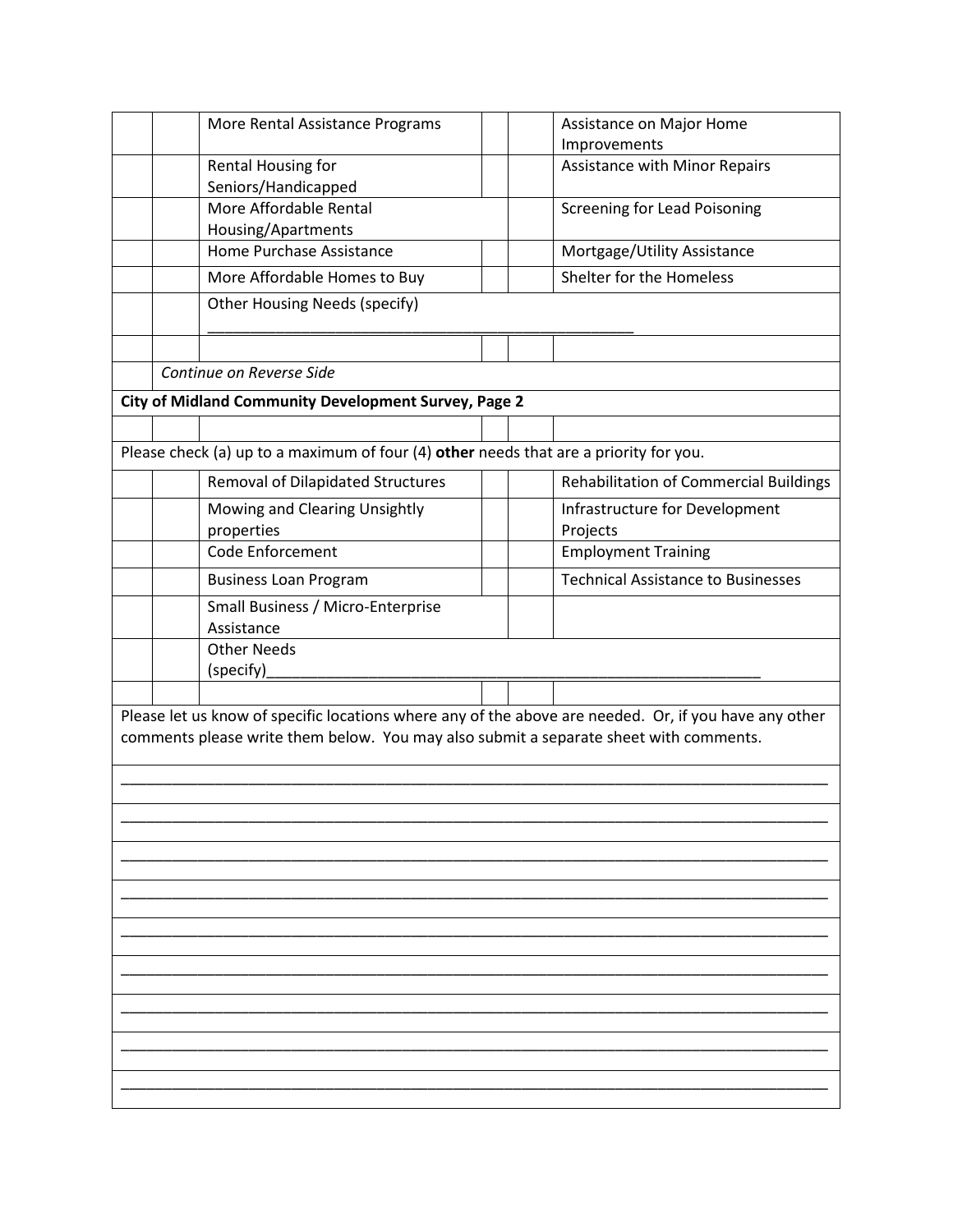|                                                                                                                                                                                                |  | More Rental Assistance Programs                                                       |  |  | Assistance on Major Home                      |  |  |  |
|------------------------------------------------------------------------------------------------------------------------------------------------------------------------------------------------|--|---------------------------------------------------------------------------------------|--|--|-----------------------------------------------|--|--|--|
|                                                                                                                                                                                                |  |                                                                                       |  |  | Improvements                                  |  |  |  |
|                                                                                                                                                                                                |  | Rental Housing for<br>Seniors/Handicapped                                             |  |  | <b>Assistance with Minor Repairs</b>          |  |  |  |
|                                                                                                                                                                                                |  | More Affordable Rental                                                                |  |  | <b>Screening for Lead Poisoning</b>           |  |  |  |
|                                                                                                                                                                                                |  | Housing/Apartments                                                                    |  |  |                                               |  |  |  |
|                                                                                                                                                                                                |  | Home Purchase Assistance                                                              |  |  | Mortgage/Utility Assistance                   |  |  |  |
|                                                                                                                                                                                                |  | More Affordable Homes to Buy                                                          |  |  | Shelter for the Homeless                      |  |  |  |
|                                                                                                                                                                                                |  | <b>Other Housing Needs (specify)</b>                                                  |  |  |                                               |  |  |  |
|                                                                                                                                                                                                |  |                                                                                       |  |  |                                               |  |  |  |
|                                                                                                                                                                                                |  | Continue on Reverse Side                                                              |  |  |                                               |  |  |  |
|                                                                                                                                                                                                |  | City of Midland Community Development Survey, Page 2                                  |  |  |                                               |  |  |  |
|                                                                                                                                                                                                |  |                                                                                       |  |  |                                               |  |  |  |
|                                                                                                                                                                                                |  | Please check (a) up to a maximum of four (4) other needs that are a priority for you. |  |  |                                               |  |  |  |
|                                                                                                                                                                                                |  | Removal of Dilapidated Structures                                                     |  |  | <b>Rehabilitation of Commercial Buildings</b> |  |  |  |
|                                                                                                                                                                                                |  | Mowing and Clearing Unsightly                                                         |  |  | Infrastructure for Development                |  |  |  |
|                                                                                                                                                                                                |  | properties                                                                            |  |  | Projects                                      |  |  |  |
|                                                                                                                                                                                                |  | Code Enforcement                                                                      |  |  | <b>Employment Training</b>                    |  |  |  |
|                                                                                                                                                                                                |  | <b>Business Loan Program</b>                                                          |  |  | <b>Technical Assistance to Businesses</b>     |  |  |  |
|                                                                                                                                                                                                |  | Small Business / Micro-Enterprise<br>Assistance                                       |  |  |                                               |  |  |  |
|                                                                                                                                                                                                |  | <b>Other Needs</b>                                                                    |  |  |                                               |  |  |  |
|                                                                                                                                                                                                |  | (specify)                                                                             |  |  |                                               |  |  |  |
|                                                                                                                                                                                                |  |                                                                                       |  |  |                                               |  |  |  |
| Please let us know of specific locations where any of the above are needed. Or, if you have any other<br>comments please write them below. You may also submit a separate sheet with comments. |  |                                                                                       |  |  |                                               |  |  |  |
|                                                                                                                                                                                                |  |                                                                                       |  |  |                                               |  |  |  |
|                                                                                                                                                                                                |  |                                                                                       |  |  |                                               |  |  |  |
|                                                                                                                                                                                                |  |                                                                                       |  |  |                                               |  |  |  |
|                                                                                                                                                                                                |  |                                                                                       |  |  |                                               |  |  |  |
|                                                                                                                                                                                                |  |                                                                                       |  |  |                                               |  |  |  |
|                                                                                                                                                                                                |  |                                                                                       |  |  |                                               |  |  |  |
|                                                                                                                                                                                                |  |                                                                                       |  |  |                                               |  |  |  |
|                                                                                                                                                                                                |  |                                                                                       |  |  |                                               |  |  |  |
|                                                                                                                                                                                                |  |                                                                                       |  |  |                                               |  |  |  |
|                                                                                                                                                                                                |  |                                                                                       |  |  |                                               |  |  |  |
|                                                                                                                                                                                                |  |                                                                                       |  |  |                                               |  |  |  |
|                                                                                                                                                                                                |  |                                                                                       |  |  |                                               |  |  |  |
|                                                                                                                                                                                                |  |                                                                                       |  |  |                                               |  |  |  |